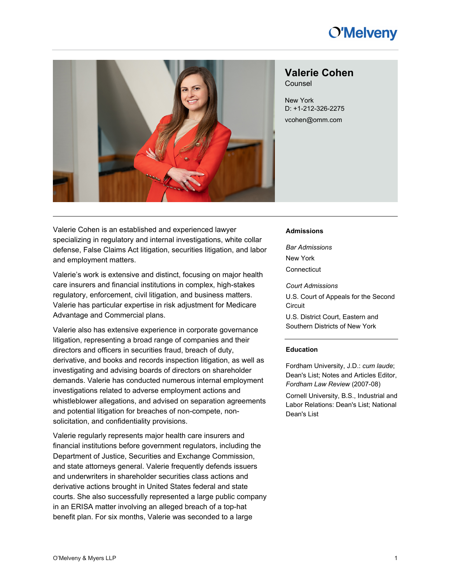# **O'Melveny**



# **Valerie Cohen**

Counsel

New York D: +1-212-326-2275 [vcohen@omm.com](mailto:%3c%3c[att.OfficeEmail]%3e%3e)

Valerie Cohen is an established and experienced lawyer specializing in regulatory and internal investigations, white collar defense, False Claims Act litigation, securities litigation, and labor and employment matters.

Valerie's work is extensive and distinct, focusing on major health care insurers and financial institutions in complex, high-stakes regulatory, enforcement, civil litigation, and business matters. Valerie has particular expertise in risk adjustment for Medicare Advantage and Commercial plans.

Valerie also has extensive experience in corporate governance litigation, representing a broad range of companies and their directors and officers in securities fraud, breach of duty, derivative, and books and records inspection litigation, as well as investigating and advising boards of directors on shareholder demands. Valerie has conducted numerous internal employment investigations related to adverse employment actions and whistleblower allegations, and advised on separation agreements and potential litigation for breaches of non-compete, nonsolicitation, and confidentiality provisions.

Valerie regularly represents major health care insurers and financial institutions before government regulators, including the Department of Justice, Securities and Exchange Commission, and state attorneys general. Valerie frequently defends issuers and underwriters in shareholder securities class actions and derivative actions brought in United States federal and state courts. She also successfully represented a large public company in an ERISA matter involving an alleged breach of a top-hat benefit plan. For six months, Valerie was seconded to a large

#### **Admissions**

*Bar Admissions* New York **Connecticut** 

*Court Admissions*

U.S. Court of Appeals for the Second **Circuit** 

U.S. District Court, Eastern and Southern Districts of New York

#### **Education**

Fordham University, J.D.: *cum laude*; Dean's List; Notes and Articles Editor, *Fordham Law Review* (2007-08)

Cornell University, B.S., Industrial and Labor Relations: Dean's List; National Dean's List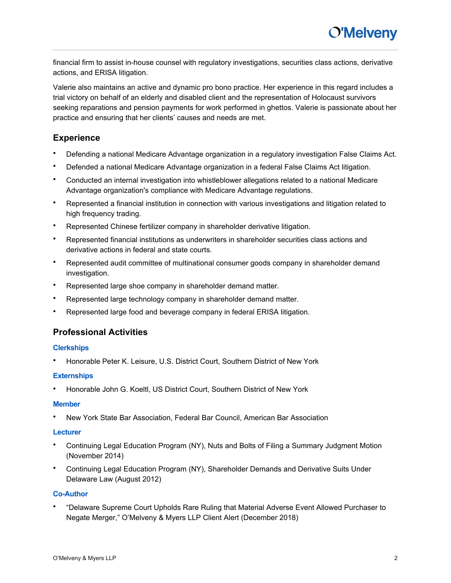financial firm to assist in-house counsel with regulatory investigations, securities class actions, derivative actions, and ERISA litigation.

Valerie also maintains an active and dynamic pro bono practice. Her experience in this regard includes a trial victory on behalf of an elderly and disabled client and the representation of Holocaust survivors seeking reparations and pension payments for work performed in ghettos. Valerie is passionate about her practice and ensuring that her clients' causes and needs are met.

## **Experience**

- Defending a national Medicare Advantage organization in a regulatory investigation False Claims Act.
- Defended a national Medicare Advantage organization in a federal False Claims Act litigation.
- Conducted an internal investigation into whistleblower allegations related to a national Medicare Advantage organization's compliance with Medicare Advantage regulations.
- Represented a financial institution in connection with various investigations and litigation related to high frequency trading.
- Represented Chinese fertilizer company in shareholder derivative litigation.
- Represented financial institutions as underwriters in shareholder securities class actions and derivative actions in federal and state courts.
- Represented audit committee of multinational consumer goods company in shareholder demand investigation.
- Represented large shoe company in shareholder demand matter.
- Represented large technology company in shareholder demand matter.
- Represented large food and beverage company in federal ERISA litigation.

## **Professional Activities**

### **Clerkships**

• Honorable Peter K. Leisure, U.S. District Court, Southern District of New York

### **Externships**

• Honorable John G. Koeltl, US District Court, Southern District of New York

#### **Member**

• New York State Bar Association, Federal Bar Council, American Bar Association

### **Lecturer**

- Continuing Legal Education Program (NY), Nuts and Bolts of Filing a Summary Judgment Motion (November 2014)
- Continuing Legal Education Program (NY), Shareholder Demands and Derivative Suits Under Delaware Law (August 2012)

### **Co-Author**

• "Delaware Supreme Court Upholds Rare Ruling that Material Adverse Event Allowed Purchaser to Negate Merger," O'Melveny & Myers LLP Client Alert (December 2018)